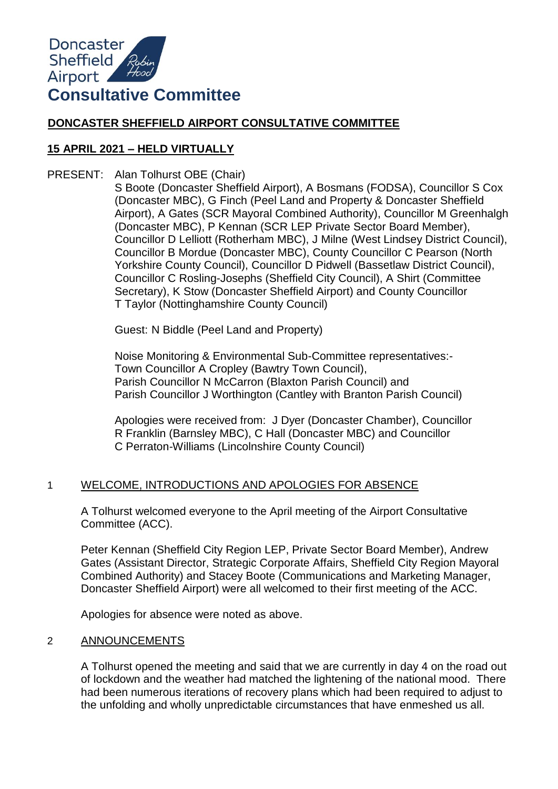

# **DONCASTER SHEFFIELD AIRPORT CONSULTATIVE COMMITTEE**

## **15 APRIL 2021 – HELD VIRTUALLY**

PRESENT: Alan Tolhurst OBE (Chair)

S Boote (Doncaster Sheffield Airport), A Bosmans (FODSA), Councillor S Cox (Doncaster MBC), G Finch (Peel Land and Property & Doncaster Sheffield Airport), A Gates (SCR Mayoral Combined Authority), Councillor M Greenhalgh (Doncaster MBC), P Kennan (SCR LEP Private Sector Board Member), Councillor D Lelliott (Rotherham MBC), J Milne (West Lindsey District Council), Councillor B Mordue (Doncaster MBC), County Councillor C Pearson (North Yorkshire County Council), Councillor D Pidwell (Bassetlaw District Council), Councillor C Rosling-Josephs (Sheffield City Council), A Shirt (Committee Secretary), K Stow (Doncaster Sheffield Airport) and County Councillor T Taylor (Nottinghamshire County Council)

Guest: N Biddle (Peel Land and Property)

Noise Monitoring & Environmental Sub-Committee representatives:- Town Councillor A Cropley (Bawtry Town Council), Parish Councillor N McCarron (Blaxton Parish Council) and Parish Councillor J Worthington (Cantley with Branton Parish Council)

Apologies were received from: J Dyer (Doncaster Chamber), Councillor R Franklin (Barnsley MBC), C Hall (Doncaster MBC) and Councillor C Perraton-Williams (Lincolnshire County Council)

### 1 WELCOME, INTRODUCTIONS AND APOLOGIES FOR ABSENCE

A Tolhurst welcomed everyone to the April meeting of the Airport Consultative Committee (ACC).

Peter Kennan (Sheffield City Region LEP, Private Sector Board Member), Andrew Gates (Assistant Director, Strategic Corporate Affairs, Sheffield City Region Mayoral Combined Authority) and Stacey Boote (Communications and Marketing Manager, Doncaster Sheffield Airport) were all welcomed to their first meeting of the ACC.

Apologies for absence were noted as above.

#### 2 ANNOUNCEMENTS

A Tolhurst opened the meeting and said that we are currently in day 4 on the road out of lockdown and the weather had matched the lightening of the national mood. There had been numerous iterations of recovery plans which had been required to adjust to the unfolding and wholly unpredictable circumstances that have enmeshed us all.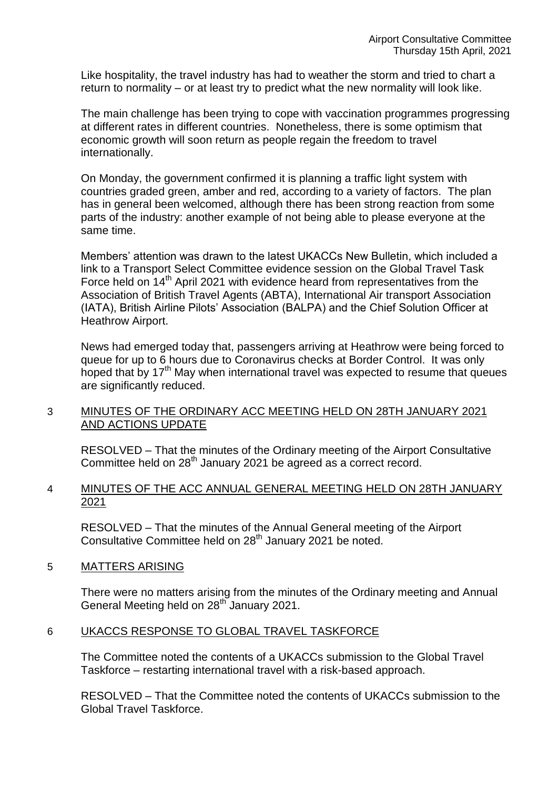Like hospitality, the travel industry has had to weather the storm and tried to chart a return to normality – or at least try to predict what the new normality will look like.

The main challenge has been trying to cope with vaccination programmes progressing at different rates in different countries. Nonetheless, there is some optimism that economic growth will soon return as people regain the freedom to travel internationally.

On Monday, the government confirmed it is planning a traffic light system with countries graded green, amber and red, according to a variety of factors. The plan has in general been welcomed, although there has been strong reaction from some parts of the industry: another example of not being able to please everyone at the same time.

Members' attention was drawn to the latest UKACCs New Bulletin, which included a link to a Transport Select Committee evidence session on the Global Travel Task Force held on 14<sup>th</sup> April 2021 with evidence heard from representatives from the Association of British Travel Agents (ABTA), International Air transport Association (IATA), British Airline Pilots' Association (BALPA) and the Chief Solution Officer at Heathrow Airport.

News had emerged today that, passengers arriving at Heathrow were being forced to queue for up to 6 hours due to Coronavirus checks at Border Control. It was only hoped that by  $17<sup>th</sup>$  May when international travel was expected to resume that queues are significantly reduced.

### 3 MINUTES OF THE ORDINARY ACC MEETING HELD ON 28TH JANUARY 2021 AND ACTIONS UPDATE

RESOLVED – That the minutes of the Ordinary meeting of the Airport Consultative Committee held on 28<sup>th</sup> January 2021 be agreed as a correct record.

#### 4 MINUTES OF THE ACC ANNUAL GENERAL MEETING HELD ON 28TH JANUARY 2021

RESOLVED – That the minutes of the Annual General meeting of the Airport Consultative Committee held on 28<sup>th</sup> January 2021 be noted.

### 5 MATTERS ARISING

There were no matters arising from the minutes of the Ordinary meeting and Annual General Meeting held on 28<sup>th</sup> January 2021.

#### 6 UKACCS RESPONSE TO GLOBAL TRAVEL TASKFORCE

The Committee noted the contents of a UKACCs submission to the Global Travel Taskforce – restarting international travel with a risk-based approach.

RESOLVED – That the Committee noted the contents of UKACCs submission to the Global Travel Taskforce.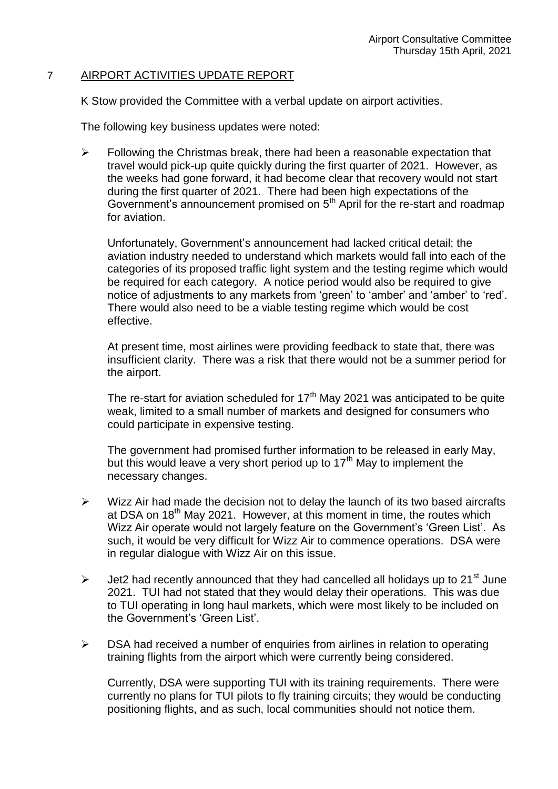#### 7 AIRPORT ACTIVITIES UPDATE REPORT

K Stow provided the Committee with a verbal update on airport activities.

The following key business updates were noted:

 $\triangleright$  Following the Christmas break, there had been a reasonable expectation that travel would pick-up quite quickly during the first quarter of 2021. However, as the weeks had gone forward, it had become clear that recovery would not start during the first quarter of 2021. There had been high expectations of the Government's announcement promised on  $5<sup>th</sup>$  April for the re-start and roadmap for aviation.

Unfortunately, Government's announcement had lacked critical detail; the aviation industry needed to understand which markets would fall into each of the categories of its proposed traffic light system and the testing regime which would be required for each category. A notice period would also be required to give notice of adjustments to any markets from 'green' to 'amber' and 'amber' to 'red'. There would also need to be a viable testing regime which would be cost effective.

At present time, most airlines were providing feedback to state that, there was insufficient clarity. There was a risk that there would not be a summer period for the airport.

The re-start for aviation scheduled for  $17<sup>th</sup>$  May 2021 was anticipated to be quite weak, limited to a small number of markets and designed for consumers who could participate in expensive testing.

The government had promised further information to be released in early May, but this would leave a very short period up to  $17<sup>th</sup>$  May to implement the necessary changes.

- $\triangleright$  Wizz Air had made the decision not to delay the launch of its two based aircrafts at DSA on 18<sup>th</sup> May 2021. However, at this moment in time, the routes which Wizz Air operate would not largely feature on the Government's 'Green List'. As such, it would be very difficult for Wizz Air to commence operations. DSA were in regular dialogue with Wizz Air on this issue.
- $\triangleright$  Jet2 had recently announced that they had cancelled all holidays up to 21<sup>st</sup> June 2021. TUI had not stated that they would delay their operations. This was due to TUI operating in long haul markets, which were most likely to be included on the Government's 'Green List'.
- $\triangleright$  DSA had received a number of enquiries from airlines in relation to operating training flights from the airport which were currently being considered.

Currently, DSA were supporting TUI with its training requirements. There were currently no plans for TUI pilots to fly training circuits; they would be conducting positioning flights, and as such, local communities should not notice them.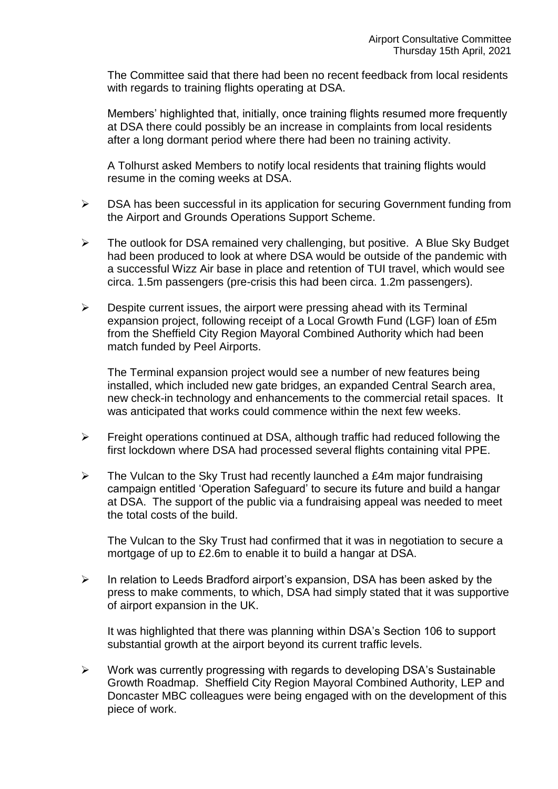The Committee said that there had been no recent feedback from local residents with regards to training flights operating at DSA.

Members' highlighted that, initially, once training flights resumed more frequently at DSA there could possibly be an increase in complaints from local residents after a long dormant period where there had been no training activity.

A Tolhurst asked Members to notify local residents that training flights would resume in the coming weeks at DSA.

- DSA has been successful in its application for securing Government funding from the Airport and Grounds Operations Support Scheme.
- $\triangleright$  The outlook for DSA remained very challenging, but positive. A Blue Sky Budget had been produced to look at where DSA would be outside of the pandemic with a successful Wizz Air base in place and retention of TUI travel, which would see circa. 1.5m passengers (pre-crisis this had been circa. 1.2m passengers).
- $\triangleright$  Despite current issues, the airport were pressing ahead with its Terminal expansion project, following receipt of a Local Growth Fund (LGF) loan of £5m from the Sheffield City Region Mayoral Combined Authority which had been match funded by Peel Airports.

The Terminal expansion project would see a number of new features being installed, which included new gate bridges, an expanded Central Search area, new check-in technology and enhancements to the commercial retail spaces. It was anticipated that works could commence within the next few weeks.

- $\triangleright$  Freight operations continued at DSA, although traffic had reduced following the first lockdown where DSA had processed several flights containing vital PPE.
- $\triangleright$  The Vulcan to the Sky Trust had recently launched a £4m major fundraising campaign entitled 'Operation Safeguard' to secure its future and build a hangar at DSA. The support of the public via a fundraising appeal was needed to meet the total costs of the build.

The Vulcan to the Sky Trust had confirmed that it was in negotiation to secure a mortgage of up to £2.6m to enable it to build a hangar at DSA.

 $\triangleright$  In relation to Leeds Bradford airport's expansion. DSA has been asked by the press to make comments, to which, DSA had simply stated that it was supportive of airport expansion in the UK.

It was highlighted that there was planning within DSA's Section 106 to support substantial growth at the airport beyond its current traffic levels.

 $\triangleright$  Work was currently progressing with regards to developing DSA's Sustainable Growth Roadmap. Sheffield City Region Mayoral Combined Authority, LEP and Doncaster MBC colleagues were being engaged with on the development of this piece of work.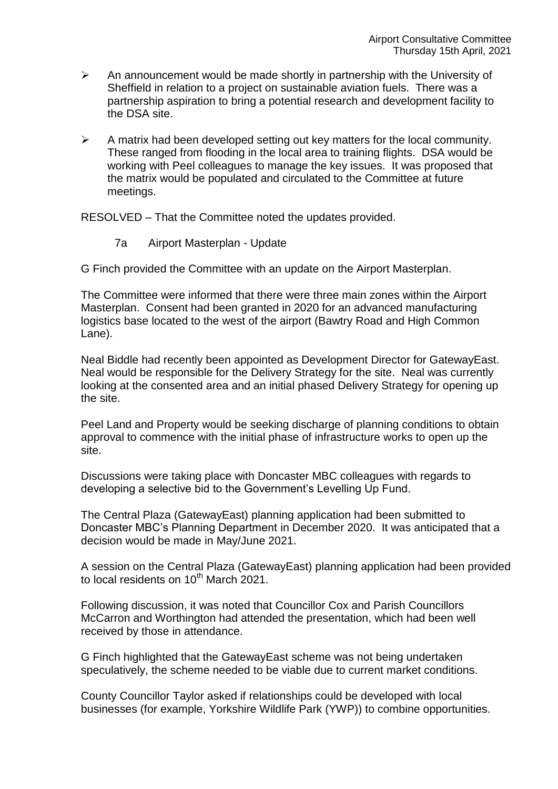- $\triangleright$  An announcement would be made shortly in partnership with the University of Sheffield in relation to a project on sustainable aviation fuels. There was a partnership aspiration to bring a potential research and development facility to the DSA site.
- $\triangleright$  A matrix had been developed setting out key matters for the local community. These ranged from flooding in the local area to training flights. DSA would be working with Peel colleagues to manage the key issues. It was proposed that the matrix would be populated and circulated to the Committee at future meetings.

RESOLVED – That the Committee noted the updates provided.

7a Airport Masterplan - Update

G Finch provided the Committee with an update on the Airport Masterplan.

The Committee were informed that there were three main zones within the Airport Masterplan. Consent had been granted in 2020 for an advanced manufacturing logistics base located to the west of the airport (Bawtry Road and High Common Lane).

Neal Biddle had recently been appointed as Development Director for GatewayEast. Neal would be responsible for the Delivery Strategy for the site. Neal was currently looking at the consented area and an initial phased Delivery Strategy for opening up the site.

Peel Land and Property would be seeking discharge of planning conditions to obtain approval to commence with the initial phase of infrastructure works to open up the site.

Discussions were taking place with Doncaster MBC colleagues with regards to developing a selective bid to the Government's Levelling Up Fund.

The Central Plaza (GatewayEast) planning application had been submitted to Doncaster MBC's Planning Department in December 2020. It was anticipated that a decision would be made in May/June 2021.

A session on the Central Plaza (GatewayEast) planning application had been provided to local residents on  $10^{th}$  March 2021.

Following discussion, it was noted that Councillor Cox and Parish Councillors McCarron and Worthington had attended the presentation, which had been well received by those in attendance.

G Finch highlighted that the GatewayEast scheme was not being undertaken speculatively, the scheme needed to be viable due to current market conditions.

County Councillor Taylor asked if relationships could be developed with local businesses (for example, Yorkshire Wildlife Park (YWP)) to combine opportunities.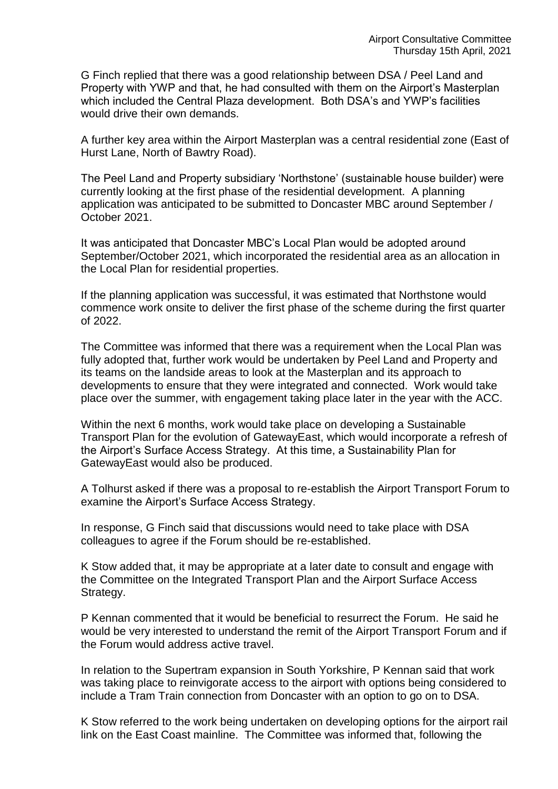G Finch replied that there was a good relationship between DSA / Peel Land and Property with YWP and that, he had consulted with them on the Airport's Masterplan which included the Central Plaza development. Both DSA's and YWP's facilities would drive their own demands.

A further key area within the Airport Masterplan was a central residential zone (East of Hurst Lane, North of Bawtry Road).

The Peel Land and Property subsidiary 'Northstone' (sustainable house builder) were currently looking at the first phase of the residential development. A planning application was anticipated to be submitted to Doncaster MBC around September / October 2021.

It was anticipated that Doncaster MBC's Local Plan would be adopted around September/October 2021, which incorporated the residential area as an allocation in the Local Plan for residential properties.

If the planning application was successful, it was estimated that Northstone would commence work onsite to deliver the first phase of the scheme during the first quarter of 2022.

The Committee was informed that there was a requirement when the Local Plan was fully adopted that, further work would be undertaken by Peel Land and Property and its teams on the landside areas to look at the Masterplan and its approach to developments to ensure that they were integrated and connected. Work would take place over the summer, with engagement taking place later in the year with the ACC.

Within the next 6 months, work would take place on developing a Sustainable Transport Plan for the evolution of GatewayEast, which would incorporate a refresh of the Airport's Surface Access Strategy. At this time, a Sustainability Plan for GatewayEast would also be produced.

A Tolhurst asked if there was a proposal to re-establish the Airport Transport Forum to examine the Airport's Surface Access Strategy.

In response, G Finch said that discussions would need to take place with DSA colleagues to agree if the Forum should be re-established.

K Stow added that, it may be appropriate at a later date to consult and engage with the Committee on the Integrated Transport Plan and the Airport Surface Access Strategy.

P Kennan commented that it would be beneficial to resurrect the Forum. He said he would be very interested to understand the remit of the Airport Transport Forum and if the Forum would address active travel.

In relation to the Supertram expansion in South Yorkshire, P Kennan said that work was taking place to reinvigorate access to the airport with options being considered to include a Tram Train connection from Doncaster with an option to go on to DSA.

K Stow referred to the work being undertaken on developing options for the airport rail link on the East Coast mainline. The Committee was informed that, following the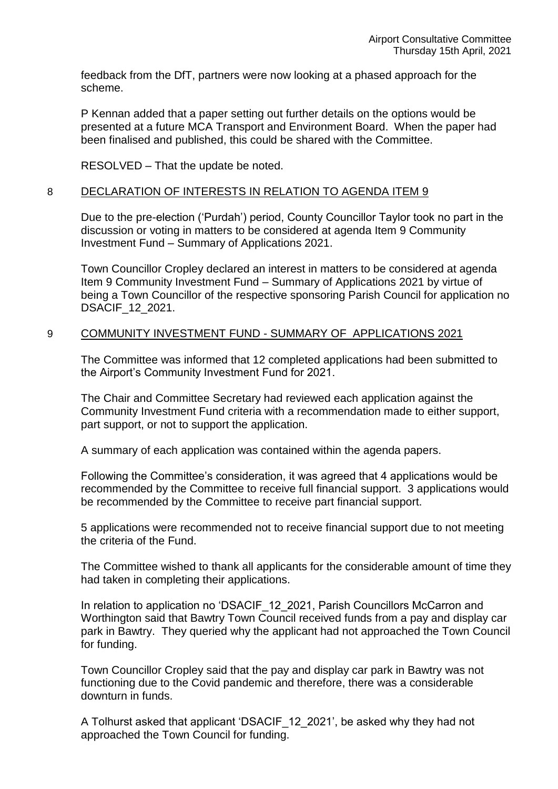feedback from the DfT, partners were now looking at a phased approach for the scheme.

P Kennan added that a paper setting out further details on the options would be presented at a future MCA Transport and Environment Board. When the paper had been finalised and published, this could be shared with the Committee.

RESOLVED – That the update be noted.

#### 8 DECLARATION OF INTERESTS IN RELATION TO AGENDA ITEM 9

Due to the pre-election ('Purdah') period, County Councillor Taylor took no part in the discussion or voting in matters to be considered at agenda Item 9 Community Investment Fund – Summary of Applications 2021.

Town Councillor Cropley declared an interest in matters to be considered at agenda Item 9 Community Investment Fund – Summary of Applications 2021 by virtue of being a Town Councillor of the respective sponsoring Parish Council for application no DSACIF\_12\_2021.

#### 9 COMMUNITY INVESTMENT FUND - SUMMARY OF APPLICATIONS 2021

The Committee was informed that 12 completed applications had been submitted to the Airport's Community Investment Fund for 2021.

The Chair and Committee Secretary had reviewed each application against the Community Investment Fund criteria with a recommendation made to either support, part support, or not to support the application.

A summary of each application was contained within the agenda papers.

Following the Committee's consideration, it was agreed that 4 applications would be recommended by the Committee to receive full financial support. 3 applications would be recommended by the Committee to receive part financial support.

5 applications were recommended not to receive financial support due to not meeting the criteria of the Fund.

The Committee wished to thank all applicants for the considerable amount of time they had taken in completing their applications.

In relation to application no 'DSACIF\_12\_2021, Parish Councillors McCarron and Worthington said that Bawtry Town Council received funds from a pay and display car park in Bawtry. They queried why the applicant had not approached the Town Council for funding.

Town Councillor Cropley said that the pay and display car park in Bawtry was not functioning due to the Covid pandemic and therefore, there was a considerable downturn in funds.

A Tolhurst asked that applicant 'DSACIF\_12\_2021', be asked why they had not approached the Town Council for funding.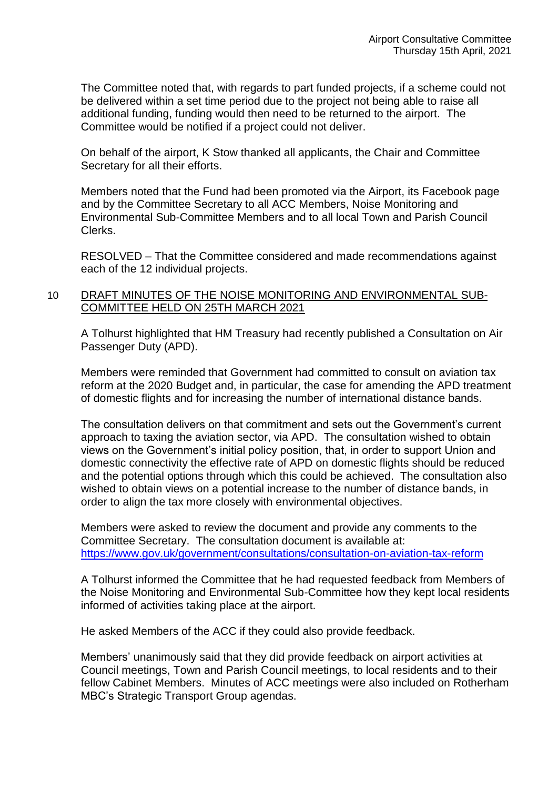The Committee noted that, with regards to part funded projects, if a scheme could not be delivered within a set time period due to the project not being able to raise all additional funding, funding would then need to be returned to the airport. The Committee would be notified if a project could not deliver.

On behalf of the airport, K Stow thanked all applicants, the Chair and Committee Secretary for all their efforts.

Members noted that the Fund had been promoted via the Airport, its Facebook page and by the Committee Secretary to all ACC Members, Noise Monitoring and Environmental Sub-Committee Members and to all local Town and Parish Council Clerks.

RESOLVED – That the Committee considered and made recommendations against each of the 12 individual projects.

## 10 DRAFT MINUTES OF THE NOISE MONITORING AND ENVIRONMENTAL SUB-COMMITTEE HELD ON 25TH MARCH 2021

A Tolhurst highlighted that HM Treasury had recently published a Consultation on Air Passenger Duty (APD).

Members were reminded that Government had committed to consult on aviation tax reform at the 2020 Budget and, in particular, the case for amending the APD treatment of domestic flights and for increasing the number of international distance bands.

The consultation delivers on that commitment and sets out the Government's current approach to taxing the aviation sector, via APD. The consultation wished to obtain views on the Government's initial policy position, that, in order to support Union and domestic connectivity the effective rate of APD on domestic flights should be reduced and the potential options through which this could be achieved. The consultation also wished to obtain views on a potential increase to the number of distance bands, in order to align the tax more closely with environmental objectives.

Members were asked to review the document and provide any comments to the Committee Secretary. The consultation document is available at: <https://www.gov.uk/government/consultations/consultation-on-aviation-tax-reform>

A Tolhurst informed the Committee that he had requested feedback from Members of the Noise Monitoring and Environmental Sub-Committee how they kept local residents informed of activities taking place at the airport.

He asked Members of the ACC if they could also provide feedback.

Members' unanimously said that they did provide feedback on airport activities at Council meetings, Town and Parish Council meetings, to local residents and to their fellow Cabinet Members. Minutes of ACC meetings were also included on Rotherham MBC's Strategic Transport Group agendas.